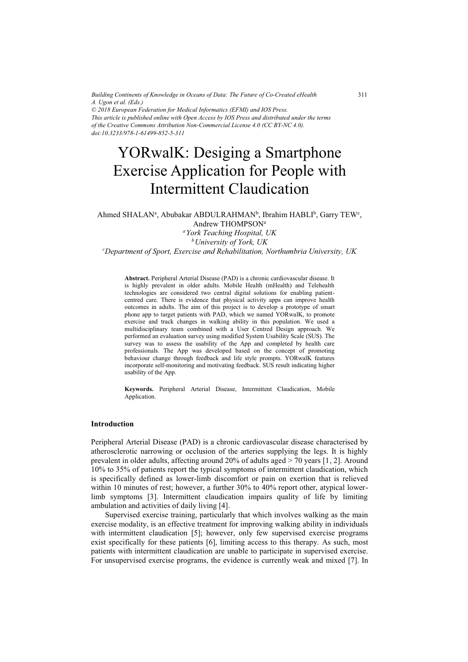*Building Continents of Knowledge in Oceans of Data: The Future of Co-Created eHealth A. Ugon et al. (Eds.) © 2018 European Federation for Medical Informatics (EFMI) and IOS Press. This article is published online with Open Access by IOS Press and distributed under the terms of the Creative Commons Attribution Non-Commercial License 4.0 (CC BY-NC 4.0). doi:10.3233/978-1-61499-852-5-311*

# YORwalK: Desiging a Smartphone Exercise Application for People with Intermittent Claudication

#### Ahmed SHALAN<sup>a</sup>, Abubakar ABDULRAHMAN<sup>b</sup>, Ibrahim HABLI<sup>b</sup>, Garry TEW<sup>c</sup>, Andrew THOMPSONa

*aYork Teaching Hospital, UK* 

*bUniversity of York, UK c Department of Sport, Exercise and Rehabilitation, Northumbria University, UK* 

**Abstract.** Peripheral Arterial Disease (PAD) is a chronic cardiovascular disease. It is highly prevalent in older adults. Mobile Health (mHealth) and Telehealth technologies are considered two central digital solutions for enabling patientcentred care. There is evidence that physical activity apps can improve health outcomes in adults. The aim of this project is to develop a prototype of smart phone app to target patients with PAD, which we named YORwalK, to promote exercise and track changes in walking ability in this population. We used a multidisciplinary team combined with a User Centred Design approach. We performed an evaluation survey using modified System Usability Scale (SUS). The survey was to assess the usability of the App and completed by health care professionals. The App was developed based on the concept of promoting behaviour change through feedback and life style prompts. YORwalK features incorporate self-monitoring and motivating feedback. SUS result indicating higher usability of the App.

**Keywords.** Peripheral Arterial Disease, Intermittent Claudication, Mobile Application.

#### **Introduction**

Peripheral Arterial Disease (PAD) is a chronic cardiovascular disease characterised by atherosclerotic narrowing or occlusion of the arteries supplying the legs. It is highly prevalent in older adults, affecting around 20% of adults aged > 70 years [1, 2]. Around 10% to 35% of patients report the typical symptoms of intermittent claudication, which is specifically defined as lower-limb discomfort or pain on exertion that is relieved within 10 minutes of rest; however, a further 30% to 40% report other, atypical lowerlimb symptoms [3]. Intermittent claudication impairs quality of life by limiting ambulation and activities of daily living [4].

Supervised exercise training, particularly that which involves walking as the main exercise modality, is an effective treatment for improving walking ability in individuals with intermittent claudication [5]; however, only few supervised exercise programs exist specifically for these patients [6], limiting access to this therapy. As such, most patients with intermittent claudication are unable to participate in supervised exercise. For unsupervised exercise programs, the evidence is currently weak and mixed [7]. In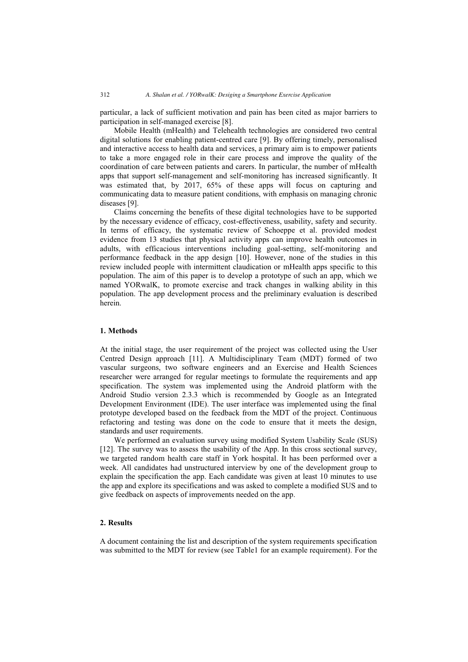particular, a lack of sufficient motivation and pain has been cited as major barriers to participation in self-managed exercise [8].

Mobile Health (mHealth) and Telehealth technologies are considered two central digital solutions for enabling patient-centred care [9]. By offering timely, personalised and interactive access to health data and services, a primary aim is to empower patients to take a more engaged role in their care process and improve the quality of the coordination of care between patients and carers. In particular, the number of mHealth apps that support self-management and self-monitoring has increased significantly. It was estimated that, by 2017, 65% of these apps will focus on capturing and communicating data to measure patient conditions, with emphasis on managing chronic diseases [9].

Claims concerning the benefits of these digital technologies have to be supported by the necessary evidence of efficacy, cost-effectiveness, usability, safety and security. In terms of efficacy, the systematic review of Schoeppe et al. provided modest evidence from 13 studies that physical activity apps can improve health outcomes in adults, with efficacious interventions including goal-setting, self-monitoring and performance feedback in the app design [10]. However, none of the studies in this review included people with intermittent claudication or mHealth apps specific to this population. The aim of this paper is to develop a prototype of such an app, which we named YORwalK, to promote exercise and track changes in walking ability in this population. The app development process and the preliminary evaluation is described herein.

# **1. Methods**

At the initial stage, the user requirement of the project was collected using the User Centred Design approach [11]. A Multidisciplinary Team (MDT) formed of two vascular surgeons, two software engineers and an Exercise and Health Sciences researcher were arranged for regular meetings to formulate the requirements and app specification. The system was implemented using the Android platform with the Android Studio version 2.3.3 which is recommended by Google as an Integrated Development Environment (IDE). The user interface was implemented using the final prototype developed based on the feedback from the MDT of the project. Continuous refactoring and testing was done on the code to ensure that it meets the design, standards and user requirements.

We performed an evaluation survey using modified System Usability Scale (SUS) [12]. The survey was to assess the usability of the App. In this cross sectional survey, we targeted random health care staff in York hospital. It has been performed over a week. All candidates had unstructured interview by one of the development group to explain the specification the app. Each candidate was given at least 10 minutes to use the app and explore its specifications and was asked to complete a modified SUS and to give feedback on aspects of improvements needed on the app.

# **2. Results**

A document containing the list and description of the system requirements specification was submitted to the MDT for review (see Table1 for an example requirement). For the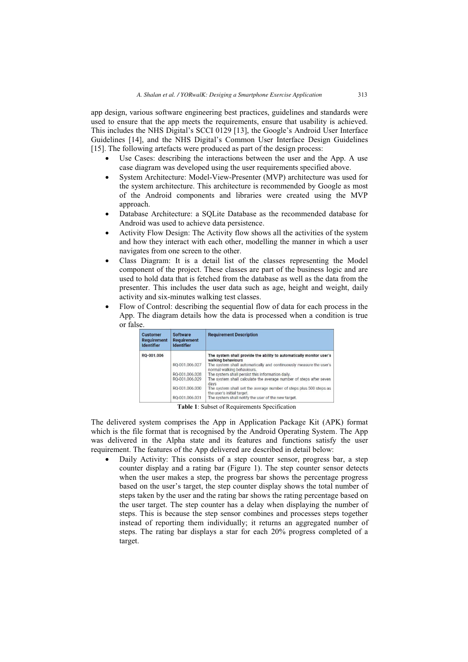app design, various software engineering best practices, guidelines and standards were used to ensure that the app meets the requirements, ensure that usability is achieved. This includes the NHS Digital's SCCI 0129 [13], the Google's Android User Interface Guidelines [14], and the NHS Digital's Common User Interface Design Guidelines [15]. The following artefacts were produced as part of the design process:

- - Use Cases: describing the interactions between the user and the App. A use case diagram was developed using the user requirements specified above.
- $\bullet$  System Architecture: Model-View-Presenter (MVP) architecture was used for the system architecture. This architecture is recommended by Google as most of the Android components and libraries were created using the MVP approach.
- - Database Architecture: a SQLite Database as the recommended database for Android was used to achieve data persistence.
- - Activity Flow Design: The Activity flow shows all the activities of the system and how they interact with each other, modelling the manner in which a user navigates from one screen to the other.
- $\bullet$  Class Diagram: It is a detail list of the classes representing the Model component of the project. These classes are part of the business logic and are used to hold data that is fetched from the database as well as the data from the presenter. This includes the user data such as age, height and weight, daily activity and six-minutes walking test classes.
- - Flow of Control: describing the sequential flow of data for each process in the App. The diagram details how the data is processed when a condition is true or false.

| <b>Customer</b><br><b>Requirement</b><br><b>Identifier</b> | <b>Software</b><br><b>Requirement</b><br><b>Identifier</b> | <b>Requirement Description</b>                                                                   |
|------------------------------------------------------------|------------------------------------------------------------|--------------------------------------------------------------------------------------------------|
| RQ-001.006                                                 |                                                            | The system shall provide the ability to automatically monitor user's<br>walking behaviours       |
|                                                            | RO-001.006.027                                             | The system shall automatically and continuously measure the user's<br>normal walking behaviours. |
|                                                            | RO-001.006.028                                             | The system shall persist this information daily.                                                 |
|                                                            | RO-001.006.029                                             | The system shall calculate the average number of steps after seven<br>days                       |
|                                                            | RO-001.006.030                                             | The system shall set the average number of steps plus 500 steps as<br>the user's initial target. |
|                                                            | RO-001.006.031                                             | The system shall notify the user of the new target.                                              |

**Table 1**: Subset of Requirements Specification

The delivered system comprises the App in Application Package Kit (APK) format which is the file format that is recognised by the Android Operating System. The App was delivered in the Alpha state and its features and functions satisfy the user requirement. The features of the App delivered are described in detail below:

- Daily Activity: This consists of a step counter sensor, progress bar, a step counter display and a rating bar (Figure 1). The step counter sensor detects when the user makes a step, the progress bar shows the percentage progress based on the user's target, the step counter display shows the total number of steps taken by the user and the rating bar shows the rating percentage based on the user target. The step counter has a delay when displaying the number of steps. This is because the step sensor combines and processes steps together instead of reporting them individually; it returns an aggregated number of steps. The rating bar displays a star for each 20% progress completed of a target.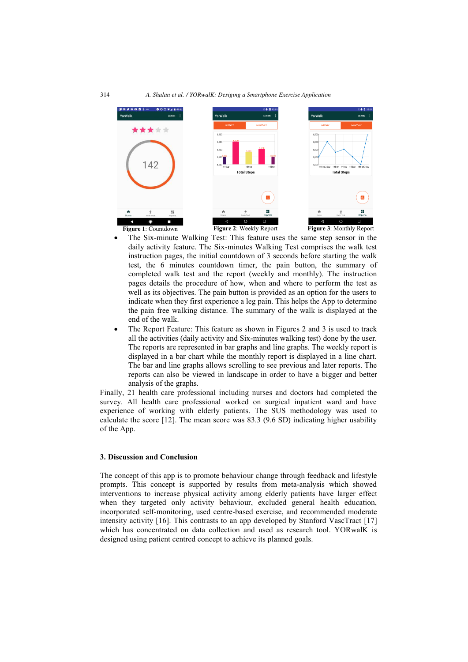

- - The Six-minute Walking Test: This feature uses the same step sensor in the daily activity feature. The Six-minutes Walking Test comprises the walk test instruction pages, the initial countdown of 3 seconds before starting the walk test, the 6 minutes countdown timer, the pain button, the summary of completed walk test and the report (weekly and monthly). The instruction pages details the procedure of how, when and where to perform the test as well as its objectives. The pain button is provided as an option for the users to indicate when they first experience a leg pain. This helps the App to determine the pain free walking distance. The summary of the walk is displayed at the end of the walk.
- -• The Report Feature: This feature as shown in Figures 2 and 3 is used to track all the activities (daily activity and Six-minutes walking test) done by the user. The reports are represented in bar graphs and line graphs. The weekly report is displayed in a bar chart while the monthly report is displayed in a line chart. The bar and line graphs allows scrolling to see previous and later reports. The reports can also be viewed in landscape in order to have a bigger and better analysis of the graphs.

Finally, 21 health care professional including nurses and doctors had completed the survey. All health care professional worked on surgical inpatient ward and have experience of working with elderly patients. The SUS methodology was used to calculate the score [12]. The mean score was 83.3 (9.6 SD) indicating higher usability of the App.

### **3. Discussion and Conclusion**

The concept of this app is to promote behaviour change through feedback and lifestyle prompts. This concept is supported by results from meta-analysis which showed interventions to increase physical activity among elderly patients have larger effect when they targeted only activity behaviour, excluded general health education, incorporated self-monitoring, used centre-based exercise, and recommended moderate intensity activity [16]. This contrasts to an app developed by Stanford VascTract [17] which has concentrated on data collection and used as research tool. YORwalK is designed using patient centred concept to achieve its planned goals.